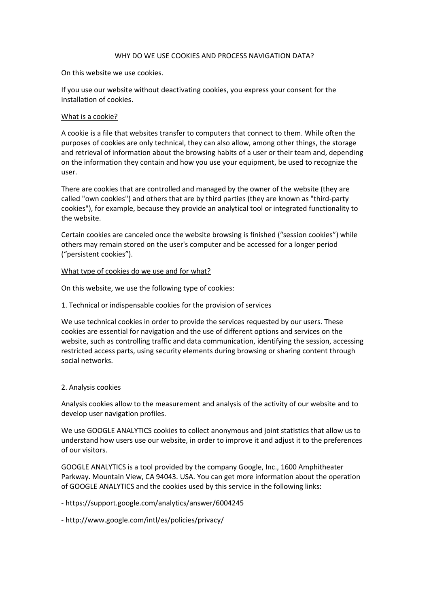### WHY DO WE USE COOKIES AND PROCESS NAVIGATION DATA?

On this website we use cookies.

If you use our website without deactivating cookies, you express your consent for the installation of cookies.

### What is a cookie?

A cookie is a file that websites transfer to computers that connect to them. While often the purposes of cookies are only technical, they can also allow, among other things, the storage and retrieval of information about the browsing habits of a user or their team and, depending on the information they contain and how you use your equipment, be used to recognize the user.

There are cookies that are controlled and managed by the owner of the website (they are called "own cookies") and others that are by third parties (they are known as "third-party cookies"), for example, because they provide an analytical tool or integrated functionality to the website.

Certain cookies are canceled once the website browsing is finished ("session cookies") while others may remain stored on the user's computer and be accessed for a longer period ("persistent cookies").

### What type of cookies do we use and for what?

On this website, we use the following type of cookies:

1. Technical or indispensable cookies for the provision of services

We use technical cookies in order to provide the services requested by our users. These cookies are essential for navigation and the use of different options and services on the website, such as controlling traffic and data communication, identifying the session, accessing restricted access parts, using security elements during browsing or sharing content through social networks.

# 2. Analysis cookies

Analysis cookies allow to the measurement and analysis of the activity of our website and to develop user navigation profiles.

We use GOOGLE ANALYTICS cookies to collect anonymous and joint statistics that allow us to understand how users use our website, in order to improve it and adjust it to the preferences of our visitors.

GOOGLE ANALYTICS is a tool provided by the company Google, Inc., 1600 Amphitheater Parkway. Mountain View, CA 94043. USA. You can get more information about the operation of GOOGLE ANALYTICS and the cookies used by this service in the following links:

- https://support.google.com/analytics/answer/6004245

- http://www.google.com/intl/es/policies/privacy/